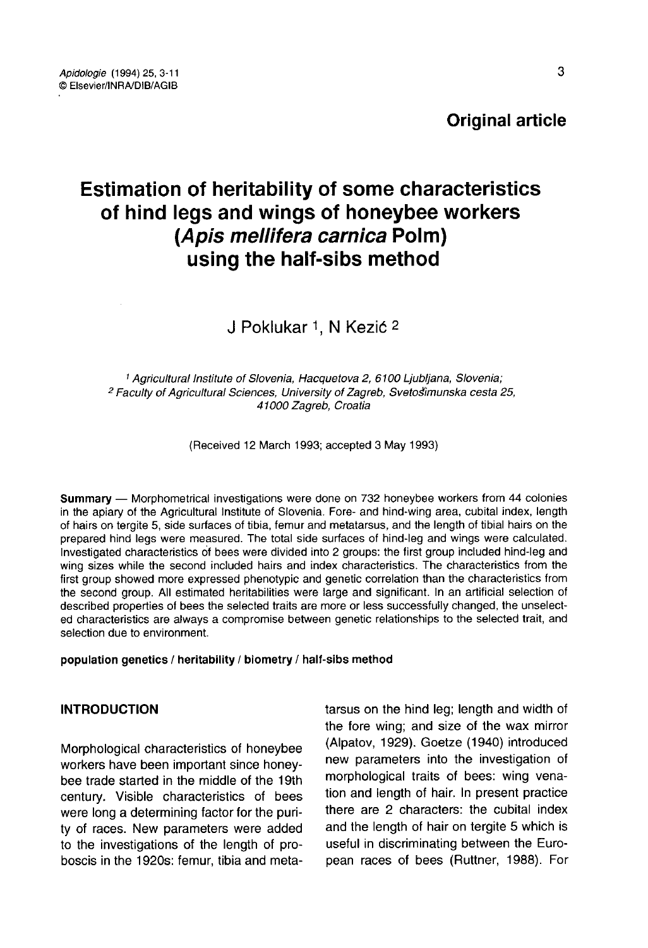**Original article** 

# Estimation of heritability of some characteristics of hind legs and wings of honeybee workers (Apis mellifera carnica Polm) using the half-sibs method

J Poklukar 1, N Kezić 2

<sup>1</sup> Agricultural Institute of Slovenia, Hacquetova 2, 6100 Ljubljana, Slovenia; <sup>2</sup> Faculty of Agricultural Sciences, University of Zagreb, Svetošimunska cesta 25, 41000 Zagreb, Croatia

(Received 12 March 1993; accepted 3 May 1993)

Summary — Morphometrical investigations were done on 732 honeybee workers from 44 colonies in the apiary of the Agricultural Institute of Slovenia. Fore- and hind-wing area, cubital index, length of hairs on tergite 5, side surfaces of tibia, femur and metatarsus, and the length of tibial hairs on the prepared hind legs were measured. The total side surfaces of hind-leg and wings were calculated. Investigated characteristics of bees were divided into 2 groups: the first group included hind-leg and wing sizes while the second included hairs and index characteristics. The characteristics from the first group showed more expressed phenotypic and genetic correlation than the characteristics from the second group. All estimated heritabilities were large and significant. In an artificial selection of described properties of bees the selected traits are more or less successfully changed, the unselected characteristics are always a compromise between genetic relationships to the selected trait, and selection due to environment.

population genetics / heritability / biometry / half-sibs method

#### INTRODUCTION

Morphological characteristics of honeybee workers have been important since honeybee trade started in the middle of the 19th century. Visible characteristics of bees were long a determining factor for the purity of races. New parameters were added to the investigations of the length of proboscis in the 1920s: femur, tibia and metatarsus on the hind leg; length and width of the fore wing; and size of the wax mirror (Alpatov, 1929). Goetze (1940) introduced new parameters into the investigation of morphological traits of bees: wing venation and length of hair. In present practice there are 2 characters: the cubital index and the length of hair on tergite 5 which is useful in discriminating between the European races of bees (Ruttner, 1988). For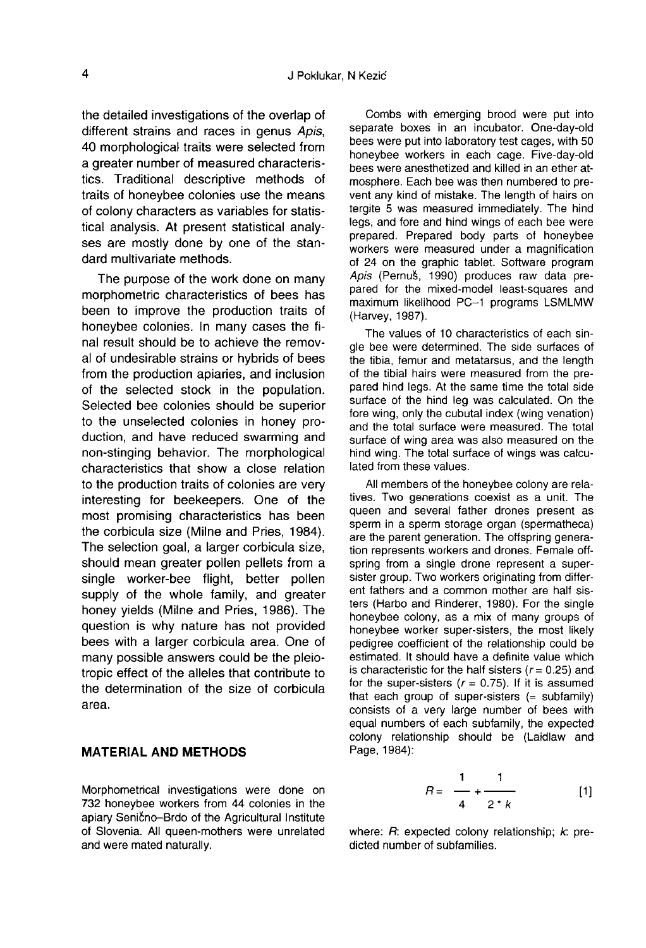the detailed investigations of the overlap of different strains and races in genus Apis. 40 morphological traits were selected from a greater number of measured characteristics. Traditional descriptive methods of traits of honeybee colonies use the means of colony characters as variables for statistical analysis. At present statistical analy ses are mostly done by one of the standard multivariate methods.

The purpose of the work done on many morphometric characteristics of bees has been to improve the production traits of honeybee colonies. In many cases the final result should be to achieve the removal of undesirable strains or hybrids of bees from the production apiaries, and inclusion of the selected stock in the population. Selected bee colonies should be superior to the unselected colonies in honey production, and have reduced swarming and non-stinging behavior. The morphological characteristics that show a close relation to the production traits of colonies are very interesting for beekeepers. One of the most promising characteristics has been the corbicula size (Milne and Pries, 1984). The selection goal, a larger corbicula size, should mean greater pollen pellets from a single worker-bee flight, better pollen supply of the whole family, and greater honey yields (Milne and Pries, 1986). The question is why nature has not provided bees with a larger corbicula area. One of many possible answers could be the pleiotropic effect of the alleles that contribute to the determination of the size of corbicula area.

# MATERIAL AND METHODS

Morphometrical investigations were done on 732 honeybee workers from 44 colonies in the apiary Senično-Brdo of the Agricultural Institute of Slovenia. All queen-mothers were unrelated and were mated naturally.

Combs with emerging brood were put into separate boxes in an incubator. One-day-old bees were put into laboratory test cages, with 50 honeybee workers in each cage. Five-day-old bees were anesthetized and killed in an ether atmosphere. Each bee was then numbered to prevent any kind of mistake. The length of hairs on tergite 5 was measured immediately. The hind legs, and fore and hind wings of each bee were prepared. Prepared body parts of honeybee workers were measured under a magnification of 24 on the graphic tablet. Software program Apis (Pernuš, 1990) produces raw data prepared for the mixed-model least-squares and maximum likelihood PC-1 programs LSMLMW (Harvey, 1987).

The values of 10 characteristics of each single bee were determined. The side surfaces of the tibia, femur and metatarsus, and the length of the tibial hairs were measured from the prepared hind legs. At the same time the total side surface of the hind leg was calculated. On the fore wing, only the cubutal index (wing venation) and the total surface were measured. The total surface of wing area was also measured on the hind wing. The total surface of wings was calculated from these values.

All members of the honeybee colony are relatives. Two generations coexist as a unit. The queen and several father drones present as sperm in a sperm storage organ (spermatheca) are the parent generation. The offspring generation represents workers and drones. Female offspring from a single drone represent a supersister group. Two workers originating from different fathers and a common mother are half sisters (Harbo and Rinderer, 1980). For the single honeybee colony, as a mix of many groups of honeybee worker super-sisters, the most likely pedigree coefficient of the relationship could be estimated. It should have a definite value which is characteristic for the half sisters ( $r = 0.25$ ) and for the super-sisters  $(r = 0.75)$ . If it is assumed that each group of super-sisters  $(=$  subfamily) consists of a very large number of bees with equal numbers of each subfamily, the expected colony relationship should be (Laidlaw and Page, 1984):

$$
R = \frac{1}{4} + \frac{1}{2 \cdot k} \tag{1}
$$

where:  $R$ : expected colony relationship;  $k$ : predicted number of subfamilies.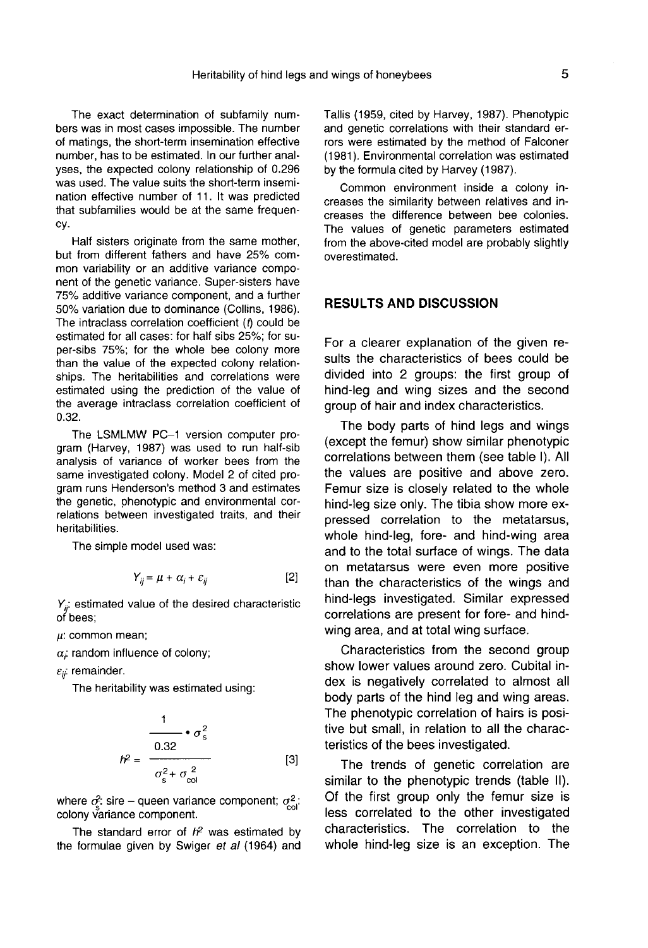The exact determination of subfamily numbers was in most cases impossible. The number of matings, the short-term insemination effective number, has to be estimated. In our further analyses, the expected colony relationship of 0.296 was used. The value suits the short-term insemination effective number of 11. It was predicted that subfamilies would be at the same frequency.

Half sisters originate from the same mother. but from different fathers and have 25% common variability or an additive variance component of the genetic variance. Super-sisters have 75% additive variance component, and a further 50% variation due to dominance (Collins, 1986). The intraclass correlation coefficient (f) could be estimated for all cases: for half sibs 25%; for super-sibs 75%; for the whole bee colony more than the value of the expected colony relationships. The heritabilities and correlations were estimated using the prediction of the value of the average intraclass correlation coefficient of 0.32.

The LSMLMW PC-1 version computer program (Harvey, 1987) was used to run half-sib analysis of variance of worker bees from the same investigated colony. Model 2 of cited program runs Henderson's method 3 and estimates the genetic, phenotypic and environmental correlations between investigated traits, and their heritabilities.

The simple model used was:

$$
Y_{ij} = \mu + \alpha_i + \varepsilon_{ij} \tag{2}
$$

 $Y_{ii}$ : estimated value of the desired characteristic of bees;

 $\mu$ : common mean;

 $\alpha$ ; random influence of colony;

 $\varepsilon_{ii}$ : remainder.

The heritability was estimated using:

$$
h^2 = \frac{1}{\frac{0.32}{\sigma_s^2 + \sigma_{\text{col}}^2}}
$$
 [3]

where  $\sigma_z^2$ : sire – queen variance component;  $\sigma_z^2$ . colony variance component.

The standard error of  $h<sup>2</sup>$  was estimated by the formulae given by Swiger et al (1964) and Tallis (1959, cited by Harvey, 1987). Phenotypic and genetic correlations with their standard errors were estimated by the method of Falconer (1981). Environmental correlation was estimated by the formula cited by Harvey (1987).

Common environment inside a colony increases the similarity between relatives and increases the difference between bee colonies. The values of genetic parameters estimated from the above-cited model are probably slightly overestimated.

#### RESULTS AND DISCUSSION

For a clearer explanation of the given results the characteristics of bees could be divided into 2 groups: the first group of hind-leg and wing sizes and the second group of hair and index characteristics.

The body parts of hind legs and wings (except the femur) show similar phenotypic correlations between them (see table I). All the values are positive and above zero. Femur size is closely related to the whole hind-leg size only. The tibia show more expressed correlation to the metatarsus, whole hind-leg, fore- and hind-wing area and to the total surface of wings. The data on metatarsus were even more positive than the characteristics of the wings and hind-legs investigated. Similar expressed correlations are present for fore- and hindwing area, and at total wing surface.

Characteristics from the second group show lower values around zero. Cubital index is negatively correlated to almost all body parts of the hind leg and wing areas. The phenotypic correlation of hairs is positive but small, in relation to all the characteristics of the bees investigated.

The trends of genetic correlation are similar to the phenotypic trends (table II). Of the first group only the femur size is less correlated to the other investigated characteristics. The correlation to the whole hind-leg size is an exception. The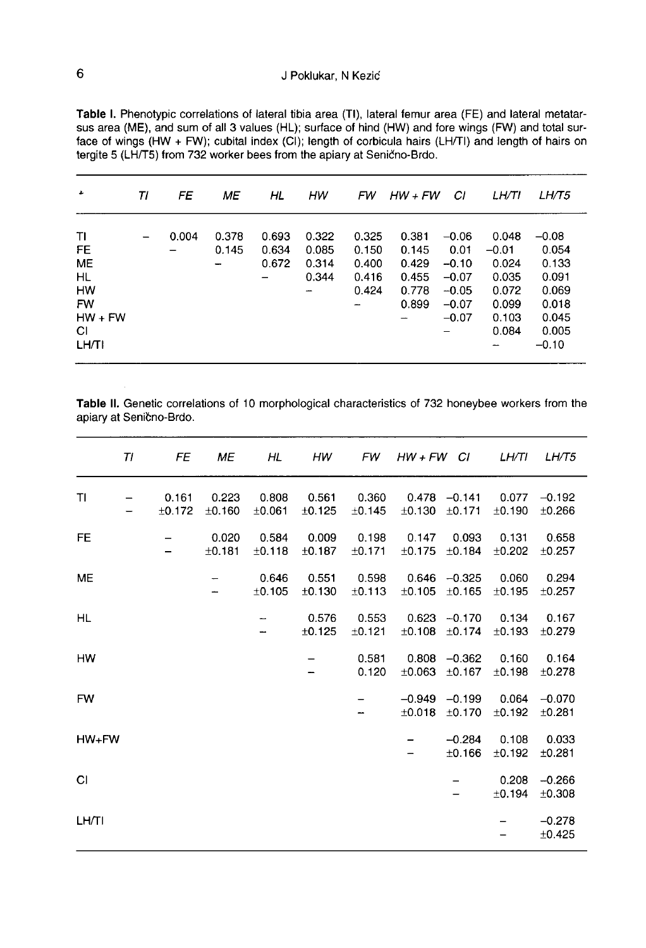| ٠                                                                                        | TI              | FE    | МE             | ΗL                      | HW                               | FW                                        | HW + FW                                            | СI                                                                     | LH/TI                                                                  | LH/T5                                                                             |
|------------------------------------------------------------------------------------------|-----------------|-------|----------------|-------------------------|----------------------------------|-------------------------------------------|----------------------------------------------------|------------------------------------------------------------------------|------------------------------------------------------------------------|-----------------------------------------------------------------------------------|
| TI<br>FE<br><b>ME</b><br><b>HL</b><br>HW<br><b>FW</b><br>$HW + FW$<br>СI<br><b>LH/TI</b> | $\qquad \qquad$ | 0.004 | 0.378<br>0.145 | 0.693<br>0.634<br>0.672 | 0.322<br>0.085<br>0.314<br>0.344 | 0.325<br>0.150<br>0.400<br>0.416<br>0.424 | 0.381<br>0.145<br>0.429<br>0.455<br>0.778<br>0.899 | $-0.06$<br>0.01<br>$-0.10$<br>$-0.07$<br>$-0.05$<br>$-0.07$<br>$-0.07$ | 0.048<br>$-0.01$<br>0.024<br>0.035<br>0.072<br>0.099<br>0.103<br>0.084 | $-0.08$<br>0.054<br>0.133<br>0.091<br>0.069<br>0.018<br>0.045<br>0.005<br>$-0.10$ |

Table I. Phenotypic correlations of lateral tibia area (TI), lateral femur area (FE) and lateral metatar-<br>sus area (ME), and sum of all 3 values (HL); surface of hind (HW) and fore wings (FW) and total surface of wings (HW + FW); cubital index (CI); length of corbicula hairs (LH/TI) and length of hairs on tergite 5 (LH/T5) from 732 worker bees from the apiary at Senično-Brdo.

Table II. Genetic correlations of 10 morphological characteristics of 732 honeybee workers from the apiary at Senično-Brdo.

|           | TI | FE              | ME              | HL                       | <b>HW</b>       | FW              | $HW + FW$ CI            |                         | LH/TI                | LH/T5              |
|-----------|----|-----------------|-----------------|--------------------------|-----------------|-----------------|-------------------------|-------------------------|----------------------|--------------------|
| TI        |    | 0.161<br>±0.172 | 0.223<br>±0.160 | 0.808<br>±0.061          | 0.561<br>±0.125 | 0.360<br>±0.145 | 0.478<br>±0.130         | $-0.141$<br>±0.171      | 0.077<br>$\pm$ 0.190 | $-0.192$<br>±0.266 |
| <b>FE</b> |    |                 | 0.020<br>±0.181 | 0.584<br>±0.118          | 0.009<br>±0.187 | 0.198<br>±0.171 | 0.147<br>±0.175         | 0.093<br>$\pm 0.184$    | 0.131<br>$\pm$ 0.202 | 0.658<br>±0.257    |
| ME        |    |                 |                 | 0.646<br>±0.105          | 0.551<br>±0.130 | 0.598<br>±0.113 | 0.646<br>±0.105         | $-0.325$<br>±0.165      | 0.060<br>±0.195      | 0.294<br>±0.257    |
| HL        |    |                 |                 | $\overline{\phantom{m}}$ | 0.576<br>±0.125 | 0.553<br>±0.121 | 0.623<br>±0.108         | $-0.170$<br>$\pm$ 0.174 | 0.134<br>±0.193      | 0.167<br>±0.279    |
| HW        |    |                 |                 |                          |                 | 0.581<br>0.120  | 0.808<br>±0.063         | $-0.362$<br>±0.167      | 0.160<br>$\pm$ 0.198 | 0.164<br>±0.278    |
| <b>FW</b> |    |                 |                 |                          |                 |                 | $-0.949$<br>$\pm 0.018$ | $-0.199$<br>±0.170      | 0.064<br>±0.192      | $-0.070$<br>±0.281 |
| $HW+FW$   |    |                 |                 |                          |                 |                 |                         | $-0.284$<br>±0.166      | 0.108<br>±0.192      | 0.033<br>±0.281    |
| СI        |    |                 |                 |                          |                 |                 |                         |                         | 0.208<br>±0.194      | $-0.266$<br>±0.308 |
| LH/TI     |    |                 |                 |                          |                 |                 |                         |                         |                      | $-0.278$<br>±0.425 |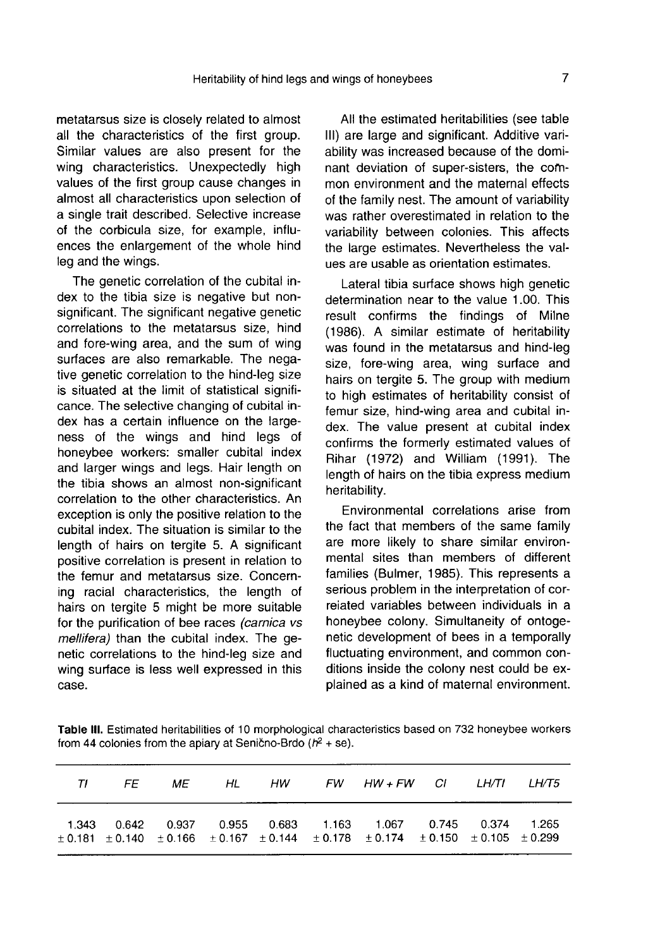metatarsus size is closely related to almost all the characteristics of the first group. Similar values are also present for the wing characteristics. Unexpectedly high values of the first group cause changes in almost all characteristics upon selection of a single trait described. Selective increase of the corbicula size, for example, influences the enlargement of the whole hind leg and the wings.

The genetic correlation of the cubital index to the tibia size is negative but nonsignificant. The significant negative genetic correlations to the metatarsus size, hind and fore-wing area, and the sum of wing surfaces are also remarkable. The negative genetic correlation to the hind-leg size is situated at the limit of statistical signifi cance. The selective changing of cubital index has a certain influence on the large ness of the wings and hind legs of honeybee workers: smaller cubital index and larger wings and legs. Hair length on the tibia shows an almost non-significant correlation to the other characteristics. An exception is only the positive relation to the cubital index. The situation is similar to the length of hairs on tergite 5. A significant positive correlation is present in relation to the femur and metatarsus size. Concerning racial characteristics, the length of hairs on tergite 5 might be more suitable for the purification of bee races (carnica vs mellifera) than the cubital index. The genetic correlations to the hind-leg size and wing surface is less well expressed in this case.

All the estimated heritabilities (see table III) are large and significant. Additive variability was increased because of the dominant deviation of super-sisters, the common environment and the maternal effects of the family nest. The amount of variability was rather overestimated in relation to the variability between colonies. This affects the large estimates. Nevertheless the values are usable as orientation estimates.

Lateral tibia surface shows high genetic determination near to the value 1.00. This result confirms the findings of Milne (1986). A similar estimate of heritability was found in the metatarsus and hind-leg size, fore-wing area, wing surface and hairs on tergite 5. The group with medium to high estimates of heritability consist of femur size, hind-wing area and cubital index. The value present at cubital index confirms the formerly estimated values of Rihar (1972) and William (1991). The length of hairs on the tibia express medium heritability.

Environmental correlations arise from the fact that members of the same family are more likely to share similar environmental sites than members of different families (Bulmer, 1985). This represents a serious problem in the interpretation of correlated variables between individuals in a honeybee colony. Simultaneity of ontogenetic development of bees in a temporally fluctuating environment, and common conditions inside the colony nest could be explained as a kind of maternal environment.

Table III. Estimated heritabilities of 10 morphological characteristics based on 732 honeybee workers from 44 colonies from the apiary at Senično-Brdo  $(h<sup>2</sup> + se)$ .

|  |  |  | TI FE ME HL HW FW HW+FW CI LH/TI LH/T5                                                                                                                                                          |  |  |
|--|--|--|-------------------------------------------------------------------------------------------------------------------------------------------------------------------------------------------------|--|--|
|  |  |  | 1.343  0.642  0.937  0.955  0.683  1.163  1.067  0.745  0.374  1.265<br>$\pm$ 0.181 $\pm$ 0.140 $\pm$ 0.166 $\pm$ 0.167 $\pm$ 0.144 $\pm$ 0.178 $\pm$ 0.174 $\pm$ 0.150 $\pm$ 0.105 $\pm$ 0.299 |  |  |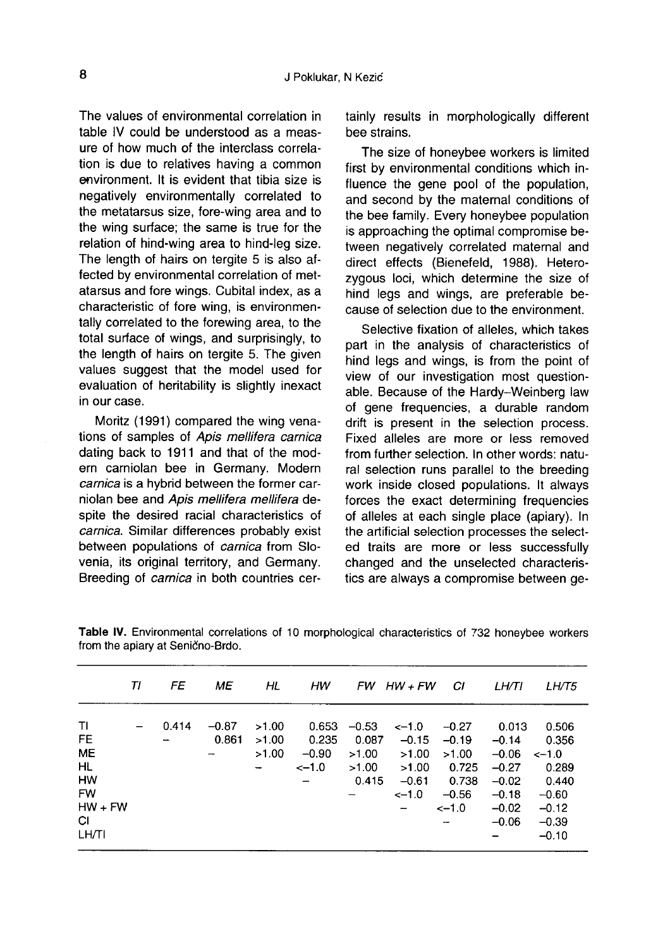The values of environmental correlation in table IV could be understood as a measure of how much of the interclass correlation is due to relatives having a common environment. It is evident that tibia size is negatively environmentally correlated to the metatarsus size, fore-wing area and to the wing surface; the same is true for the relation of hind-wing area to hind-leg size. The length of hairs on tergite 5 is also affected by environmental correlation of metatarsus and fore wings. Cubital index, as a characteristic of fore wing, is environmentally correlated to the forewing area, to the total surface of wings, and surprisingly, to the length of hairs on tergite 5. The given values suggest that the model used for evaluation of heritability is slightly inexact in our case.

Moritz (1991) compared the wing venations of samples of Apis mellifera carnica dating back to 1911 and that of the modern carniolan bee in Germany. Modern carnica is a hybrid between the former carniolan bee and Apis mellifera mellifera despite the desired racial characteristics of carnica. Similar differences probably exist between populations of carnica from Slovenia, its original territory, and Germany. Breeding of carnica in both countries certainly results in morphologically different bee strains.

The size of honeybee workers is limited first by environmental conditions which influence the gene pool of the population, and second by the maternal conditions of the bee family. Every honeybee population is approaching the optimal compromise between negatively correlated maternal and direct effects (Bienefeld, 1988). Heterozygous loci, which determine the size of hind legs and wings, are preferable because of selection due to the environment.

Selective fixation of alleles, which takes part in the analysis of characteristics of hind legs and wings, is from the point of view of our investigation most questionable. Because of the Hardy-Weinberg law of gene frequencies, a durable random drift is present in the selection process. Fixed alleles are more or less removed from further selection. In other words: natural selection runs parallel to the breeding work inside closed populations. It always forces the exact determining frequencies of alleles at each single place (apiary). In the artificial selection processes the selected traits are more or less successfully changed and the unselected characteristics are always a compromise between ge-

|                                                                                          | ΤI | FE    | МE                                           | HL                           | нw                                                               |                                             | $FW$ HW + FW                                                   | СI                                                                  | LH/TI                                                                              | <i>LH/T5</i>                                                                            |
|------------------------------------------------------------------------------------------|----|-------|----------------------------------------------|------------------------------|------------------------------------------------------------------|---------------------------------------------|----------------------------------------------------------------|---------------------------------------------------------------------|------------------------------------------------------------------------------------|-----------------------------------------------------------------------------------------|
| ΤI<br>FE<br><b>ME</b><br><b>HL</b><br><b>HW</b><br><b>FW</b><br>$HW + FW$<br>СI<br>LH/TI |    | 0.414 | $-0.87$<br>0.861<br>$\overline{\phantom{a}}$ | >1.00<br>>1.00<br>>1.00<br>- | 0.653<br>0.235<br>$-0.90$<br>$<-1.0$<br>$\overline{\phantom{0}}$ | $-0.53$<br>0.087<br>>1.00<br>>1.00<br>0.415 | $\leq -1.0$<br>$-0.15$<br>>1.00<br>>1.00<br>$-0.61$<br>$<-1.0$ | $-0.27$<br>$-0.19$<br>>1.00<br>0.725<br>0.738<br>$-0.56$<br>$<-1.0$ | 0.013<br>$-0.14$<br>$-0.06$<br>$-0.27$<br>$-0.02$<br>$-0.18$<br>$-0.02$<br>$-0.06$ | 0.506<br>0.356<br>$<-1.0$<br>0.289<br>0.440<br>$-0.60$<br>$-0.12$<br>$-0.39$<br>$-0.10$ |

Table IV. Environmental correlations of 10 morphological characteristics of 732 honeybee workers from the apiary at Senično-Brdo.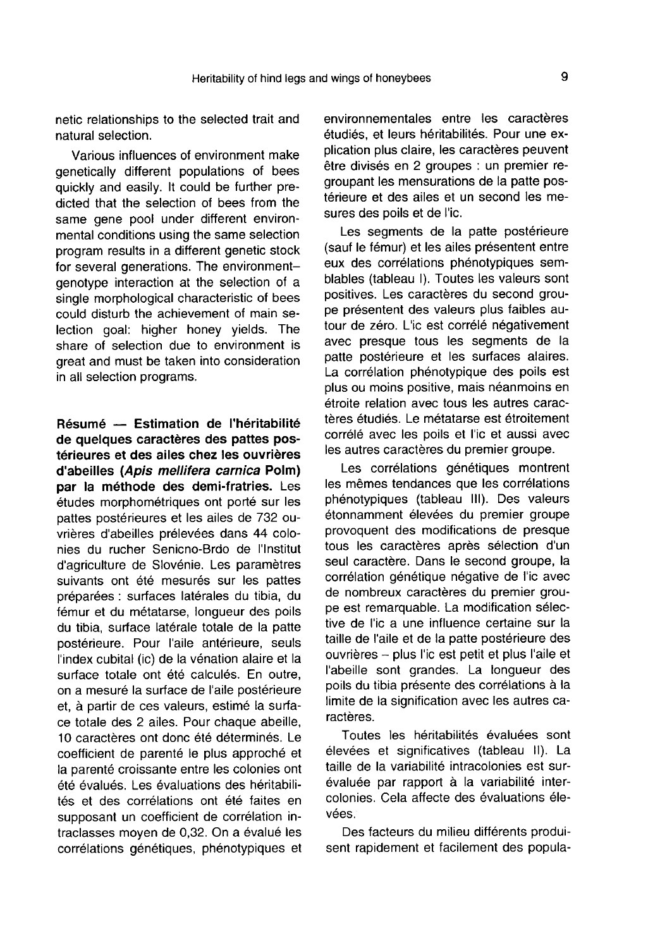netic relationships to the selected trait and natural selection.

Various influences of environment make genetically different populations of bees quickly and easily. It could be further predicted that the selection of bees from the same gene pool under different environmental conditions using the same selection program results in a different genetic stock for several generations. The environmentgenotype interaction at the selection of a single morphological characteristic of bees could disturb the achievement of main selection goal: higher honey yields. The share of selection due to environment is great and must be taken into consideration in all selection programs.

Résumé — Estimation de l'héritabilité de quelques caractères des pattes postérieures et des ailes chez les ouvrières d'abeilles (Apis mellifera carnica Polm) par la méthode des demi-fratries. Les études morphométriques ont porté sur les pattes postérieures et les ailes de 732 ouvrières d'abeilles prélevées dans 44 colonies du rucher Senicno-Brdo de l'Institut d'agriculture de Slovénie. Les paramètres suivants ont été mesurés sur les pattes préparées : surfaces latérales du tibia, du fémur et du métatarse, longueur des poils du tibia, surface latérale totale de la patte postérieure. Pour l'aile antérieure, seuls l'index cubital (ic) de la vénation alaire et la surface totale ont été calculés. En outre, on a mesuré la surface de l'aile postérieure et, à partir de ces valeurs, estimé la surface totale des 2 ailes. Pour chaque abeille, 10 caractères ont donc été déterminés. Le coefficient de parenté le plus approché et la parenté croissante entre les colonies ont été évalués. Les évaluations des héritabilités et des corrélations ont été faites en supposant un coefficient de corrélation intraclasses moyen de 0,32. On a évalué les corrélations génétiques, phénotypiques et environnementales entre les caractères étudiés, et leurs héritabilités. Pour une explication plus claire, les caractères peuvent être divisés en 2 groupes : un premier regroupant les mensurations de la patte postérieure et des ailes et un second les mesures des poils et de l'ic.

Les segments de la patte postérieure (sauf le fémur) et les ailes présentent entre eux des corrélations phénotypiques semblables (tableau I). Toutes les valeurs sont positives. Les caractères du second groupe présentent des valeurs plus faibles autour de zéro. L'ic est corrélé négativement avec presque tous les segments de la patte postérieure et les surfaces alaires. La corrélation phénotypique des poils est plus ou moins positive, mais néanmoins en étroite relation avec tous les autres caractères étudiés. Le métatarse est étroitement corrélé avec les poils et l'ic et aussi avec les autres caractères du premier groupe.

Les corrélations génétiques montrent les mêmes tendances que les corrélations phénotypiques (tableau III). Des valeurs étonnamment élevées du premier groupe provoquent des modifications de presque tous les caractères après sélection d'un seul caractère. Dans le second groupe, la corrélation génétique négative de l'ic avec de nombreux caractères du premier groupe est remarquable. La modification sélective de l'ic a une influence certaine sur la taille de l'aile et de la patte postérieure des ouvrières — plus l'ic est petit et plus l'aile et l'abeille sont grandes. La longueur des poils du tibia présente des corrélations à la limite de la signification avec les autres caractères.

Toutes les héritabilités évaluées sont élevées et significatives (tableau II). La taille de la variabilité intracolonies est surévaluée par rapport à la variabilité intercolonies. Cela affecte des évaluations élevées.

Des facteurs du milieu différents produisent rapidement et facilement des popula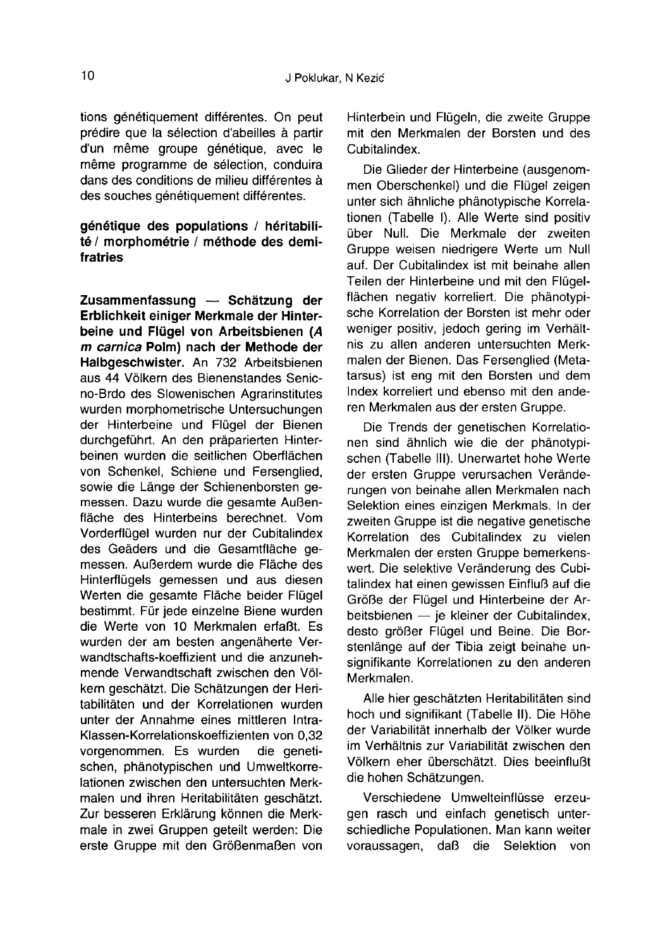tions génétiquement différentes. On peut prédire que la sélection d'abeilles à partir d'un même groupe génétique, avec le même programme de sélection, conduira dans des conditions de milieu différentes à des souches génétiquement différentes.

# génétique des populations / héritabilité / morphométrie / méthode des demifratries

Zusammenfassung — Schätzung der Erblichkeit einiger Merkmale der Hinter-<br>beine und Flügel von Arbeitsbienen (A m carnica Polm) nach der Methode der Halbgeschwister. An 732 Arbeitsbienen aus 44 Völkern des Bienenstandes Senicno-Brdo des Slowenischen Agrarinstitutes wurden morphometrische Untersuchungen der Hinterbeine und Flügel der Bienen durchgeführt. An den präparierten Hinterbeinen wurden die seitlichen Oberflächen von Schenkel, Schiene und Fersenglied, sowie die Länge der Schienenborsten gemessen. Dazu wurde die gesamte Außenfläche des Hinterbeins berechnet. Vom Vorderflügel wurden nur der Cubitalindex des Geäders und die Gesamtfläche gemessen. Außerdem wurde die Fläche des Hinterflügels gemessen und aus diesen Werten die gesamte Fläche beider Flügel bestimmt. Für jede einzelne Biene wurden die Werte von 10 Merkmalen erfaßt. Es wurden der am besten angenäherte Verwandtschafts-koeffizient und die anzunehmende Verwandtschaft zwischen den Völkern geschätzt. Die Schätzungen der Heritabilitäten und der Korrelationen wurden unter der Annahme eines mittleren Intra-Klassen-Korrelationskoeffizienten von 0,32 vorgenommen. Es wurden die genetischen, phänotypischen und Umweltkorrelationen zwischen den untersuchten Merkmalen und ihren Heritabilitäten geschätzt. Zur besseren Erklärung können die Merkmale in zwei Gruppen geteilt werden: Die erste Gruppe mit den Größenmaßen von Hinterbein und Flügeln, die zweite Gruppe mit den Merkmalen der Borsten und des Cubitalindex.

Die Glieder der Hinterbeine (ausgenom men Oberschenkel) und die Flügel zeigen unter sich ähnliche phänotypische Korrelationen (Tabelle I). Alle Werte sind positiv über Null. Die Merkmale der zweiten Gruppe weisen niedrigere Werte um Null auf. Der Cubitalindex ist mit beinahe allen Teilen der Hinterbeine und mit den Flügelflächen negativ korreliert. Die phänotypische Korrelation der Borsten ist mehr oder weniger positiv, jedoch gering im Verhältnis zu allen anderen untersuchten Merkmalen der Bienen. Das Fersenglied (Metatarsus) ist eng mit den Borsten und dem Index korreliert und ebenso mit den anderen Merkmalen aus der ersten Gruppe.

Die Trends der genetischen Korrelationen sind ähnlich wie die der phänotypischen (Tabelle III). Unerwartet hohe Werte der ersten Gruppe verursachen Veränderungen von beinahe allen Merkmalen nach Selektion eines einzigen Merkmals. In der zweiten Gruppe ist die negative genetische Korrelation des Cubitalindex zu vielen Merkmalen der ersten Gruppe bemerkenswert. Die selektive Veränderung des Cubitalindex hat einen gewissen Einfluß auf die Größe der Flügel und Hinterbeine der Arbeitsbienen — je kleiner der Cubitalindex, desto größer Flügel und Beine. Die Borstenlänge auf der Tibia zeigt beinahe unsignifikante Korrelationen zu den anderen Merkmalen.

Alle hier geschätzten Heritabilitäten sind hoch und signifikant (Tabelle II). Die Höhe der Variabilität innerhalb der Völker wurde im Verhältnis zur Variabilität zwischen den Völkern eher überschätzt. Dies beeinflußt die hohen Schätzungen.

Verschiedene Umwelteinflüsse erzeugen rasch und einfach genetisch unterschiedliche Populationen. Man kann weiter voraussagen, daß die Selektion von